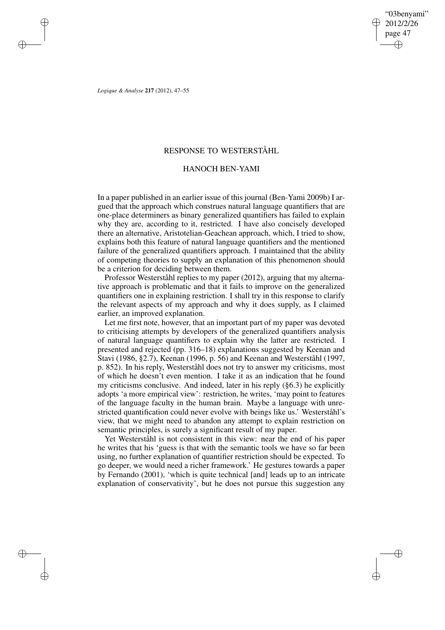"03benyami" 2012/2/26 page 47 ✐ ✐

✐

✐

*Logique & Analyse* **217** (2012), 47–55

✐

✐

✐

✐

# RESPONSE TO WESTERSTÅHL

# HANOCH BEN-YAMI

In a paper published in an earlier issue of this journal (Ben-Yami 2009b) I argued that the approach which construes natural language quantifiers that are one-place determiners as binary generalized quantifiers has failed to explain why they are, according to it, restricted. I have also concisely developed there an alternative, Aristotelian-Geachean approach, which, I tried to show, explains both this feature of natural language quantifiers and the mentioned failure of the generalized quantifiers approach. I maintained that the ability of competing theories to supply an explanation of this phenomenon should be a criterion for deciding between them.

Professor Westerståhl replies to my paper (2012), arguing that my alternative approach is problematic and that it fails to improve on the generalized quantifiers one in explaining restriction. I shall try in this response to clarify the relevant aspects of my approach and why it does supply, as I claimed earlier, an improved explanation.

Let me first note, however, that an important part of my paper was devoted to criticising attempts by developers of the generalized quantifiers analysis of natural language quantifiers to explain why the latter are restricted. I presented and rejected (pp. 316–18) explanations suggested by Keenan and Stavi (1986, §2.7), Keenan (1996, p. 56) and Keenan and Westerståhl (1997, p. 852). In his reply, Westerståhl does not try to answer my criticisms, most of which he doesn't even mention. I take it as an indication that he found my criticisms conclusive. And indeed, later in his reply (§6.3) he explicitly adopts 'a more empirical view': restriction, he writes, 'may point to features of the language faculty in the human brain. Maybe a language with unrestricted quantification could never evolve with beings like us.' Westerståhl's view, that we might need to abandon any attempt to explain restriction on semantic principles, is surely a significant result of my paper.

Yet Westerståhl is not consistent in this view: near the end of his paper he writes that his 'guess is that with the semantic tools we have so far been using, no further explanation of quantifier restriction should be expected. To go deeper, we would need a richer framework.' He gestures towards a paper by Fernando (2001), 'which is quite technical [and] leads up to an intricate explanation of conservativity', but he does not pursue this suggestion any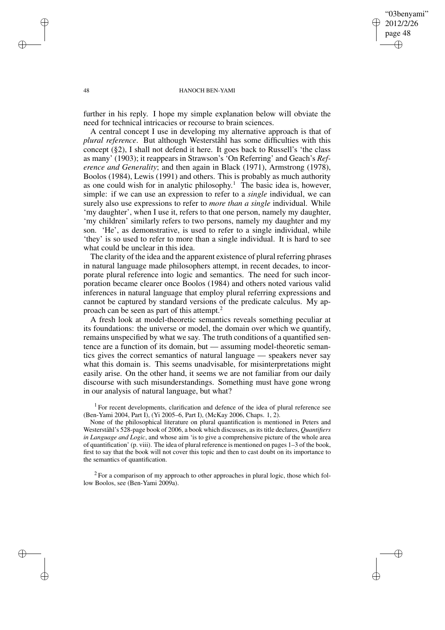### "03benyami" 2012/2/26 page 48 ✐ ✐

✐

✐

### 48 HANOCH BEN-YAMI

further in his reply. I hope my simple explanation below will obviate the need for technical intricacies or recourse to brain sciences.

A central concept I use in developing my alternative approach is that of *plural reference*. But although Westerståhl has some difficulties with this concept (§2), I shall not defend it here. It goes back to Russell's 'the class as many' (1903); it reappears in Strawson's 'On Referring' and Geach's *Reference and Generality*; and then again in Black (1971), Armstrong (1978), Boolos (1984), Lewis (1991) and others. This is probably as much authority as one could wish for in analytic philosophy.<sup>1</sup> The basic idea is, however, simple: if we can use an expression to refer to a *single* individual, we can surely also use expressions to refer to *more than a single* individual. While 'my daughter', when I use it, refers to that one person, namely my daughter, 'my children' similarly refers to two persons, namely my daughter and my son. 'He', as demonstrative, is used to refer to a single individual, while 'they' is so used to refer to more than a single individual. It is hard to see what could be unclear in this idea.

The clarity of the idea and the apparent existence of plural referring phrases in natural language made philosophers attempt, in recent decades, to incorporate plural reference into logic and semantics. The need for such incorporation became clearer once Boolos (1984) and others noted various valid inferences in natural language that employ plural referring expressions and cannot be captured by standard versions of the predicate calculus. My approach can be seen as part of this attempt.<sup>2</sup>

A fresh look at model-theoretic semantics reveals something peculiar at its foundations: the universe or model, the domain over which we quantify, remains unspecified by what we say. The truth conditions of a quantified sentence are a function of its domain, but — assuming model-theoretic semantics gives the correct semantics of natural language — speakers never say what this domain is. This seems unadvisable, for misinterpretations might easily arise. On the other hand, it seems we are not familiar from our daily discourse with such misunderstandings. Something must have gone wrong in our analysis of natural language, but what?

 $1$  For recent developments, clarification and defence of the idea of plural reference see (Ben-Yami 2004, Part I), (Yi 2005–6, Part I), (McKay 2006, Chaps. 1, 2).

None of the philosophical literature on plural quantification is mentioned in Peters and Westerståhl's 528-page book of 2006, a book which discusses, as its title declares, *Quantifiers in Language and Logic*, and whose aim 'is to give a comprehensive picture of the whole area of quantification' (p. viii). The idea of plural reference is mentioned on pages 1–3 of the book, first to say that the book will not cover this topic and then to cast doubt on its importance to the semantics of quantification.

 $2^2$  For a comparison of my approach to other approaches in plural logic, those which follow Boolos, see (Ben-Yami 2009a).

✐

✐

✐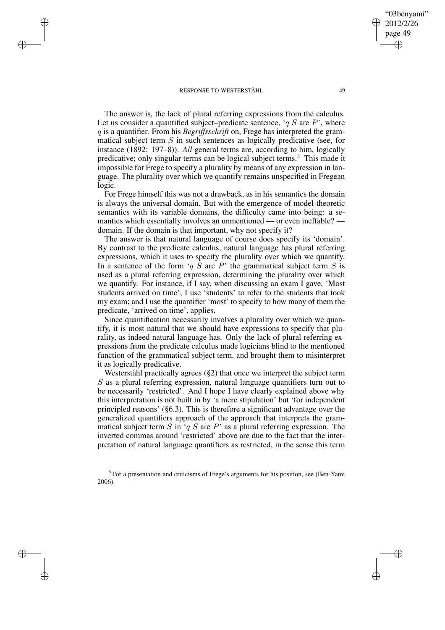✐

✐

✐

✐

The answer is, the lack of plural referring expressions from the calculus. Let us consider a quantified subject–predicate sentence, ' $q S$  are  $P$ ', where q is a quantifier. From his *Begriffsschrift* on, Frege has interpreted the grammatical subject term  $S$  in such sentences as logically predicative (see, for instance (1892: 197–8)). *All* general terms are, according to him, logically predicative; only singular terms can be logical subject terms.<sup>3</sup> This made it impossible for Frege to specify a plurality by means of any expression in language. The plurality over which we quantify remains unspecified in Fregean logic.

For Frege himself this was not a drawback, as in his semantics the domain is always the universal domain. But with the emergence of model-theoretic semantics with its variable domains, the difficulty came into being: a semantics which essentially involves an unmentioned — or even ineffable? domain. If the domain is that important, why not specify it?

The answer is that natural language of course does specify its 'domain'. By contrast to the predicate calculus, natural language has plural referring expressions, which it uses to specify the plurality over which we quantify. In a sentence of the form 'q S are P' the grammatical subject term S is used as a plural referring expression, determining the plurality over which we quantify. For instance, if I say, when discussing an exam I gave, 'Most students arrived on time', I use 'students' to refer to the students that took my exam; and I use the quantifier 'most' to specify to how many of them the predicate, 'arrived on time', applies.

Since quantification necessarily involves a plurality over which we quantify, it is most natural that we should have expressions to specify that plurality, as indeed natural language has. Only the lack of plural referring expressions from the predicate calculus made logicians blind to the mentioned function of the grammatical subject term, and brought them to misinterpret it as logically predicative.

Westerståhl practically agrees (§2) that once we interpret the subject term S as a plural referring expression, natural language quantifiers turn out to be necessarily 'restricted'. And I hope I have clearly explained above why this interpretation is not built in by 'a mere stipulation' but 'for independent principled reasons' (§6.3). This is therefore a significant advantage over the generalized quantifiers approach of the approach that interprets the grammatical subject term S in 'q S are P' as a plural referring expression. The inverted commas around 'restricted' above are due to the fact that the interpretation of natural language quantifiers as restricted, in the sense this term

 $3$  For a presentation and criticisms of Frege's arguments for his position, see (Ben-Yami 2006).

"03benyami" 2012/2/26 page 49

✐

✐

✐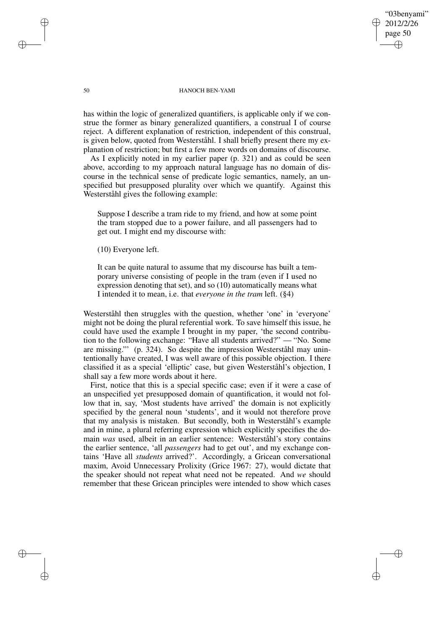"03benyami" 2012/2/26 page 50 ✐ ✐

✐

✐

### 50 HANOCH BEN-YAMI

has within the logic of generalized quantifiers, is applicable only if we construe the former as binary generalized quantifiers, a construal I of course reject. A different explanation of restriction, independent of this construal, is given below, quoted from Westerståhl. I shall briefly present there my explanation of restriction; but first a few more words on domains of discourse.

As I explicitly noted in my earlier paper (p. 321) and as could be seen above, according to my approach natural language has no domain of discourse in the technical sense of predicate logic semantics, namely, an unspecified but presupposed plurality over which we quantify. Against this Westerståhl gives the following example:

Suppose I describe a tram ride to my friend, and how at some point the tram stopped due to a power failure, and all passengers had to get out. I might end my discourse with:

(10) Everyone left.

It can be quite natural to assume that my discourse has built a temporary universe consisting of people in the tram (even if I used no expression denoting that set), and so (10) automatically means what I intended it to mean, i.e. that *everyone in the tram* left. (§4)

Westerståhl then struggles with the question, whether 'one' in 'everyone' might not be doing the plural referential work. To save himself this issue, he could have used the example I brought in my paper, 'the second contribution to the following exchange: "Have all students arrived?" — "No. Some are missing."' (p. 324). So despite the impression Westerståhl may unintentionally have created, I was well aware of this possible objection. I there classified it as a special 'elliptic' case, but given Westerståhl's objection, I shall say a few more words about it here.

First, notice that this is a special specific case; even if it were a case of an unspecified yet presupposed domain of quantification, it would not follow that in, say, 'Most students have arrived' the domain is not explicitly specified by the general noun 'students', and it would not therefore prove that my analysis is mistaken. But secondly, both in Westerståhl's example and in mine, a plural referring expression which explicitly specifies the domain *was* used, albeit in an earlier sentence: Westerståhl's story contains the earlier sentence, 'all *passengers* had to get out', and my exchange contains 'Have all *students* arrived?'. Accordingly, a Gricean conversational maxim, Avoid Unnecessary Prolixity (Grice 1967: 27), would dictate that the speaker should not repeat what need not be repeated. And *we* should remember that these Gricean principles were intended to show which cases

✐

✐

✐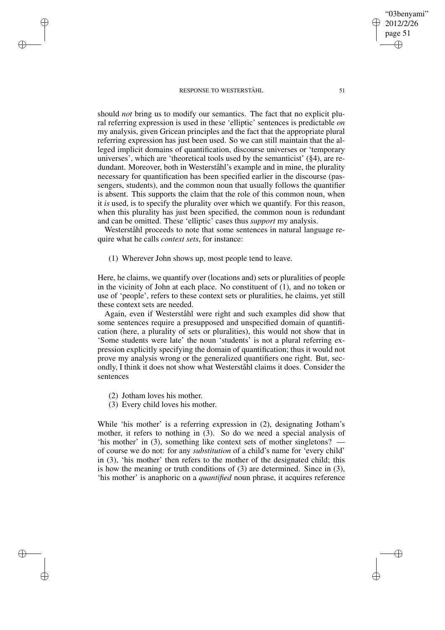should *not* bring us to modify our semantics. The fact that no explicit plural referring expression is used in these 'elliptic' sentences is predictable *on* my analysis, given Gricean principles and the fact that the appropriate plural referring expression has just been used. So we can still maintain that the alleged implicit domains of quantification, discourse universes or 'temporary universes', which are 'theoretical tools used by the semanticist' (§4), are redundant. Moreover, both in Westerståhl's example and in mine, the plurality necessary for quantification has been specified earlier in the discourse (passengers, students), and the common noun that usually follows the quantifier is absent. This supports the claim that the role of this common noun, when it *is* used, is to specify the plurality over which we quantify. For this reason, when this plurality has just been specified, the common noun is redundant and can be omitted. These 'elliptic' cases thus *support* my analysis.

Westerståhl proceeds to note that some sentences in natural language require what he calls *context sets*, for instance:

(1) Wherever John shows up, most people tend to leave.

Here, he claims, we quantify over (locations and) sets or pluralities of people in the vicinity of John at each place. No constituent of (1), and no token or use of 'people', refers to these context sets or pluralities, he claims, yet still these context sets are needed.

Again, even if Westerståhl were right and such examples did show that some sentences require a presupposed and unspecified domain of quantification (here, a plurality of sets or pluralities), this would not show that in 'Some students were late' the noun 'students' is not a plural referring expression explicitly specifying the domain of quantification; thus it would not prove my analysis wrong or the generalized quantifiers one right. But, secondly, I think it does not show what Westerståhl claims it does. Consider the sentences

(2) Jotham loves his mother.

✐

✐

✐

✐

(3) Every child loves his mother.

While 'his mother' is a referring expression in (2), designating Jotham's mother, it refers to nothing in (3). So do we need a special analysis of 'his mother' in (3), something like context sets of mother singletons? of course we do not: for any *substitution* of a child's name for 'every child' in (3), 'his mother' then refers to the mother of the designated child; this is how the meaning or truth conditions of (3) are determined. Since in (3), 'his mother' is anaphoric on a *quantified* noun phrase, it acquires reference

"03benyami" 2012/2/26 page 51

✐

✐

✐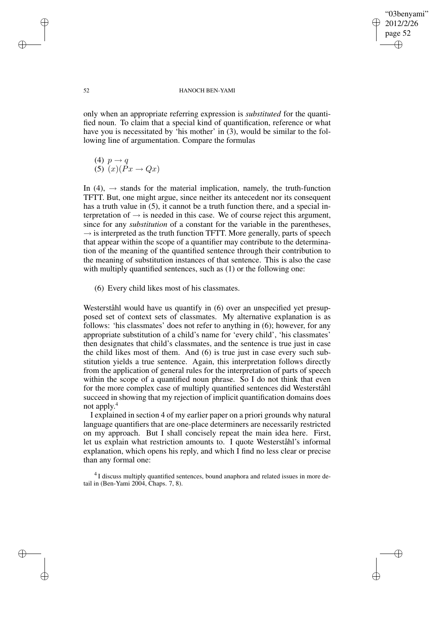### "03benyami" 2012/2/26 page 52 ✐ ✐

✐

✐

### 52 HANOCH BEN-YAMI

only when an appropriate referring expression is *substituted* for the quantified noun. To claim that a special kind of quantification, reference or what have you is necessitated by 'his mother' in (3), would be similar to the following line of argumentation. Compare the formulas

- (4)  $p \rightarrow q$
- $(5)$  $(x)(\vec{P}x \rightarrow Qx)$

In (4),  $\rightarrow$  stands for the material implication, namely, the truth-function TFTT. But, one might argue, since neither its antecedent nor its consequent has a truth value in (5), it cannot be a truth function there, and a special interpretation of  $\rightarrow$  is needed in this case. We of course reject this argument, since for any *substitution* of a constant for the variable in the parentheses,  $\rightarrow$  is interpreted as the truth function TFTT. More generally, parts of speech that appear within the scope of a quantifier may contribute to the determination of the meaning of the quantified sentence through their contribution to the meaning of substitution instances of that sentence. This is also the case with multiply quantified sentences, such as (1) or the following one:

(6) Every child likes most of his classmates.

Westerståhl would have us quantify in (6) over an unspecified yet presupposed set of context sets of classmates. My alternative explanation is as follows: 'his classmates' does not refer to anything in (6); however, for any appropriate substitution of a child's name for 'every child', 'his classmates' then designates that child's classmates, and the sentence is true just in case the child likes most of them. And (6) is true just in case every such substitution yields a true sentence. Again, this interpretation follows directly from the application of general rules for the interpretation of parts of speech within the scope of a quantified noun phrase. So I do not think that even for the more complex case of multiply quantified sentences did Westerståhl succeed in showing that my rejection of implicit quantification domains does not apply. 4

I explained in section 4 of my earlier paper on a priori grounds why natural language quantifiers that are one-place determiners are necessarily restricted on my approach. But I shall concisely repeat the main idea here. First, let us explain what restriction amounts to. I quote Westerståhl's informal explanation, which opens his reply, and which I find no less clear or precise than any formal one:

<sup>4</sup> I discuss multiply quantified sentences, bound anaphora and related issues in more detail in (Ben-Yami 2004, Chaps. 7, 8).

✐

✐

✐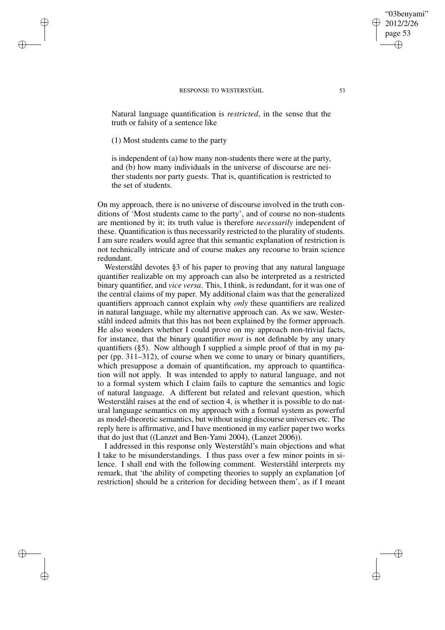Natural language quantification is *restricted*, in the sense that the truth or falsity of a sentence like

# (1) Most students came to the party

✐

✐

✐

✐

is independent of (a) how many non-students there were at the party, and (b) how many individuals in the universe of discourse are neither students nor party guests. That is, quantification is restricted to the set of students.

On my approach, there is no universe of discourse involved in the truth conditions of 'Most students came to the party', and of course no non-students are mentioned by it; its truth value is therefore *necessarily* independent of these. Quantification is thus necessarily restricted to the plurality of students. I am sure readers would agree that this semantic explanation of restriction is not technically intricate and of course makes any recourse to brain science redundant.

Westerståhl devotes §3 of his paper to proving that any natural language quantifier realizable on my approach can also be interpreted as a restricted binary quantifier, and *vice versa*. This, I think, is redundant, for it was one of the central claims of my paper. My additional claim was that the generalized quantifiers approach cannot explain why *only* these quantifiers are realized in natural language, while my alternative approach can. As we saw, Westerståhl indeed admits that this has not been explained by the former approach. He also wonders whether I could prove on my approach non-trivial facts, for instance, that the binary quantifier *most* is not definable by any unary quantifiers (§5). Now although I supplied a simple proof of that in my paper (pp. 311–312), of course when we come to unary or binary quantifiers, which presuppose a domain of quantification, my approach to quantification will not apply. It was intended to apply to natural language, and not to a formal system which I claim fails to capture the semantics and logic of natural language. A different but related and relevant question, which Westerståhl raises at the end of section 4, is whether it is possible to do natural language semantics on my approach with a formal system as powerful as model-theoretic semantics, but without using discourse universes etc. The reply here is affirmative, and I have mentioned in my earlier paper two works that do just that ((Lanzet and Ben-Yami 2004), (Lanzet 2006)).

I addressed in this response only Westerståhl's main objections and what I take to be misunderstandings. I thus pass over a few minor points in silence. I shall end with the following comment. Westerståhl interprets my remark, that 'the ability of competing theories to supply an explanation [of restriction] should be a criterion for deciding between them', as if I meant

"03benyami" 2012/2/26 page 53

✐

✐

✐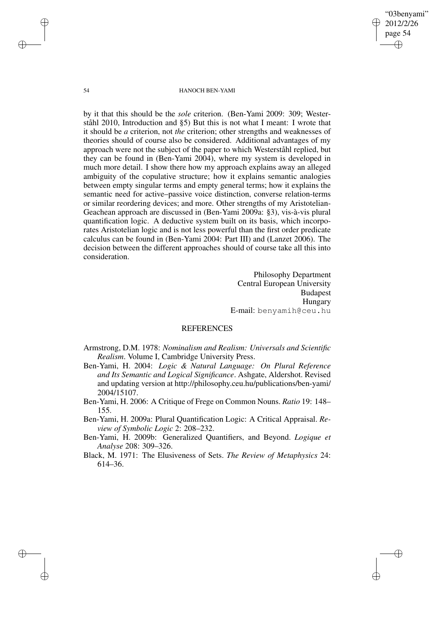54 HANOCH BEN-YAMI

by it that this should be the *sole* criterion. (Ben-Yami 2009: 309; Westerståhl 2010, Introduction and §5) But this is not what I meant: I wrote that it should be *a* criterion, not *the* criterion; other strengths and weaknesses of theories should of course also be considered. Additional advantages of my approach were not the subject of the paper to which Westerståhl replied, but they can be found in (Ben-Yami 2004), where my system is developed in much more detail. I show there how my approach explains away an alleged ambiguity of the copulative structure; how it explains semantic analogies between empty singular terms and empty general terms; how it explains the semantic need for active–passive voice distinction, converse relation-terms or similar reordering devices; and more. Other strengths of my Aristotelian-Geachean approach are discussed in (Ben-Yami 2009a: §3), vis-à-vis plural quantification logic. A deductive system built on its basis, which incorporates Aristotelian logic and is not less powerful than the first order predicate calculus can be found in (Ben-Yami 2004: Part III) and (Lanzet 2006). The decision between the different approaches should of course take all this into consideration.

> Philosophy Department Central European University Budapest Hungary E-mail: benyamih@ceu.hu

"03benyami" 2012/2/26 page 54

✐

✐

✐

✐

# REFERENCES

- Armstrong, D.M. 1978: *Nominalism and Realism: Universals and Scientific Realism*. Volume I, Cambridge University Press.
- Ben-Yami, H. 2004: *Logic & Natural Language: On Plural Reference and Its Semantic and Logical Significance*. Ashgate, Aldershot. Revised and updating version at http://philosophy.ceu.hu/publications/ben-yami/ 2004/15107.
- Ben-Yami, H. 2006: A Critique of Frege on Common Nouns. *Ratio* 19: 148– 155.
- Ben-Yami, H. 2009a: Plural Quantification Logic: A Critical Appraisal. *Review of Symbolic Logic* 2: 208–232.
- Ben-Yami, H. 2009b: Generalized Quantifiers, and Beyond. *Logique et Analyse* 208: 309–326.
- Black, M. 1971: The Elusiveness of Sets. *The Review of Metaphysics* 24: 614–36.

✐

✐

✐